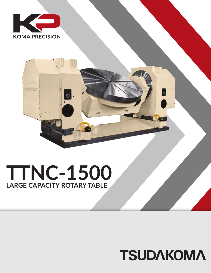



## **TTNC-1500 LARGE CAPACITY ROTARY TABLE**

## **TSUDAKOMA**